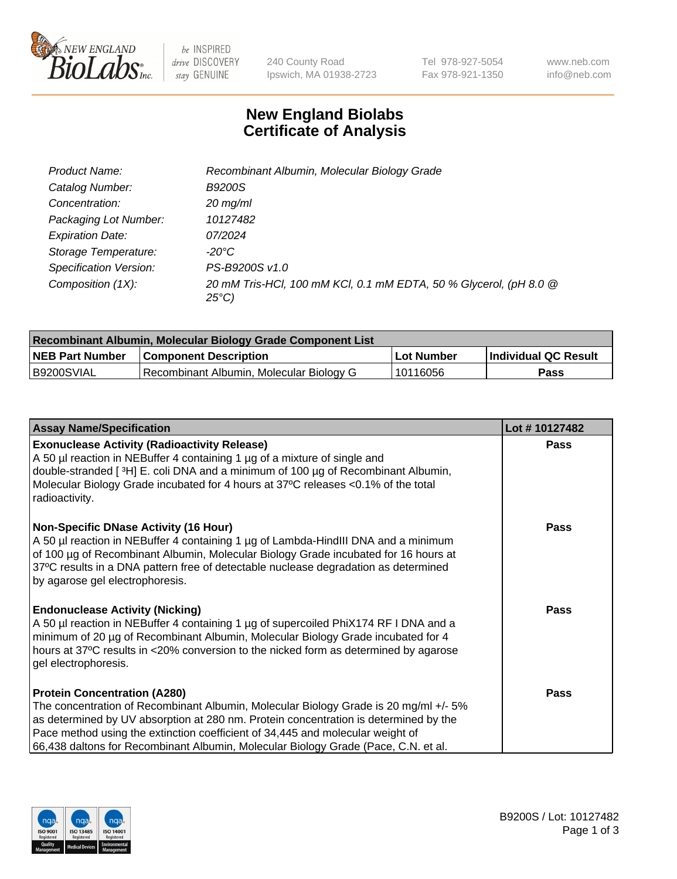

 $be$  INSPIRED drive DISCOVERY stay GENUINE

240 County Road Ipswich, MA 01938-2723 Tel 978-927-5054 Fax 978-921-1350 www.neb.com info@neb.com

## **New England Biolabs Certificate of Analysis**

| Product Name:           | Recombinant Albumin, Molecular Biology Grade                                       |
|-------------------------|------------------------------------------------------------------------------------|
| Catalog Number:         | <b>B9200S</b>                                                                      |
| Concentration:          | $20$ mg/ml                                                                         |
| Packaging Lot Number:   | 10127482                                                                           |
| <b>Expiration Date:</b> | 07/2024                                                                            |
| Storage Temperature:    | -20°C                                                                              |
| Specification Version:  | PS-B9200S v1.0                                                                     |
| Composition (1X):       | 20 mM Tris-HCl, 100 mM KCl, 0.1 mM EDTA, 50 % Glycerol, (pH 8.0 @<br>$25^{\circ}C$ |

| Recombinant Albumin, Molecular Biology Grade Component List |                                          |            |                      |  |
|-------------------------------------------------------------|------------------------------------------|------------|----------------------|--|
| <b>NEB Part Number</b>                                      | <b>Component Description</b>             | Lot Number | Individual QC Result |  |
| B9200SVIAL                                                  | Recombinant Albumin, Molecular Biology G | 10116056   | Pass                 |  |

| <b>Assay Name/Specification</b>                                                                                                                                                                                                                                                                                                                                                             | Lot #10127482 |
|---------------------------------------------------------------------------------------------------------------------------------------------------------------------------------------------------------------------------------------------------------------------------------------------------------------------------------------------------------------------------------------------|---------------|
| <b>Exonuclease Activity (Radioactivity Release)</b><br>A 50 µl reaction in NEBuffer 4 containing 1 µg of a mixture of single and<br>double-stranded [3H] E. coli DNA and a minimum of 100 μg of Recombinant Albumin,<br>Molecular Biology Grade incubated for 4 hours at 37°C releases <0.1% of the total<br>radioactivity.                                                                 | <b>Pass</b>   |
| <b>Non-Specific DNase Activity (16 Hour)</b><br>A 50 µl reaction in NEBuffer 4 containing 1 µg of Lambda-HindIII DNA and a minimum<br>of 100 µg of Recombinant Albumin, Molecular Biology Grade incubated for 16 hours at<br>37°C results in a DNA pattern free of detectable nuclease degradation as determined<br>by agarose gel electrophoresis.                                         | Pass          |
| <b>Endonuclease Activity (Nicking)</b><br>A 50 µl reaction in NEBuffer 4 containing 1 µg of supercoiled PhiX174 RF I DNA and a<br>minimum of 20 µg of Recombinant Albumin, Molecular Biology Grade incubated for 4<br>hours at 37°C results in <20% conversion to the nicked form as determined by agarose<br>gel electrophoresis.                                                          | Pass          |
| <b>Protein Concentration (A280)</b><br>The concentration of Recombinant Albumin, Molecular Biology Grade is 20 mg/ml +/- 5%<br>as determined by UV absorption at 280 nm. Protein concentration is determined by the<br>Pace method using the extinction coefficient of 34,445 and molecular weight of<br>66,438 daltons for Recombinant Albumin, Molecular Biology Grade (Pace, C.N. et al. | <b>Pass</b>   |

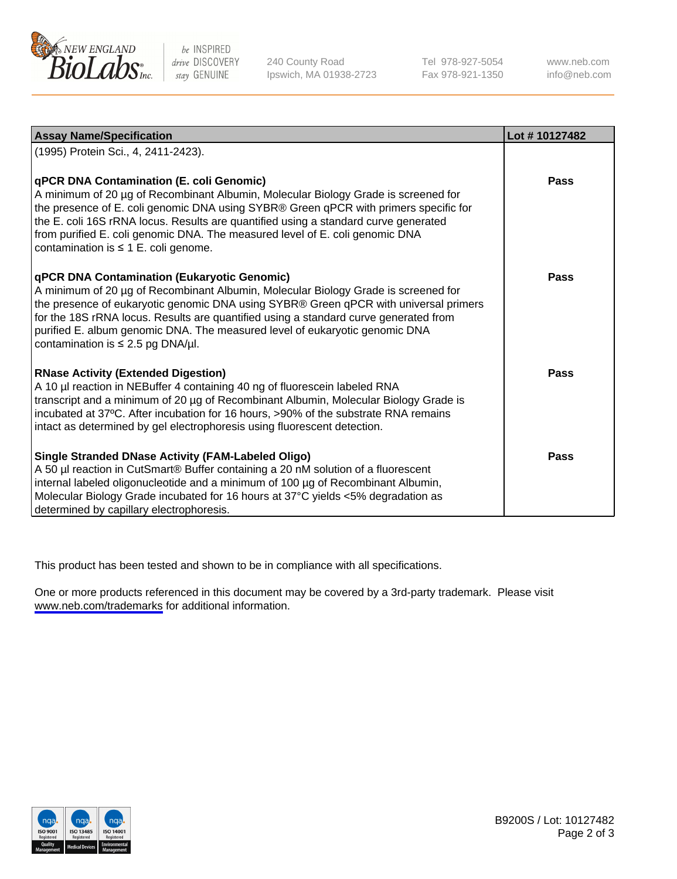

be INSPIRED drive DISCOVERY stay GENUINE

240 County Road Ipswich, MA 01938-2723 Tel 978-927-5054 Fax 978-921-1350

www.neb.com info@neb.com

| <b>Assay Name/Specification</b>                                                                                                                                                                                                                                                                                                                                                                                                            | Lot #10127482 |
|--------------------------------------------------------------------------------------------------------------------------------------------------------------------------------------------------------------------------------------------------------------------------------------------------------------------------------------------------------------------------------------------------------------------------------------------|---------------|
| (1995) Protein Sci., 4, 2411-2423).                                                                                                                                                                                                                                                                                                                                                                                                        |               |
| qPCR DNA Contamination (E. coli Genomic)<br>A minimum of 20 µg of Recombinant Albumin, Molecular Biology Grade is screened for<br>the presence of E. coli genomic DNA using SYBR® Green qPCR with primers specific for<br>the E. coli 16S rRNA locus. Results are quantified using a standard curve generated<br>from purified E. coli genomic DNA. The measured level of E. coli genomic DNA<br>contamination is $\leq 1$ E. coli genome. | <b>Pass</b>   |
| qPCR DNA Contamination (Eukaryotic Genomic)<br>A minimum of 20 µg of Recombinant Albumin, Molecular Biology Grade is screened for<br>the presence of eukaryotic genomic DNA using SYBR® Green qPCR with universal primers<br>for the 18S rRNA locus. Results are quantified using a standard curve generated from<br>purified E. album genomic DNA. The measured level of eukaryotic genomic DNA<br>contamination is $\leq$ 2.5 pg DNA/µl. | Pass          |
| <b>RNase Activity (Extended Digestion)</b><br>A 10 µl reaction in NEBuffer 4 containing 40 ng of fluorescein labeled RNA<br>transcript and a minimum of 20 µg of Recombinant Albumin, Molecular Biology Grade is<br>incubated at 37°C. After incubation for 16 hours, >90% of the substrate RNA remains<br>intact as determined by gel electrophoresis using fluorescent detection.                                                        | <b>Pass</b>   |
| <b>Single Stranded DNase Activity (FAM-Labeled Oligo)</b><br>A 50 µl reaction in CutSmart® Buffer containing a 20 nM solution of a fluorescent<br>internal labeled oligonucleotide and a minimum of 100 µg of Recombinant Albumin,<br>Molecular Biology Grade incubated for 16 hours at 37°C yields <5% degradation as<br>determined by capillary electrophoresis.                                                                         | Pass          |

This product has been tested and shown to be in compliance with all specifications.

One or more products referenced in this document may be covered by a 3rd-party trademark. Please visit <www.neb.com/trademarks>for additional information.